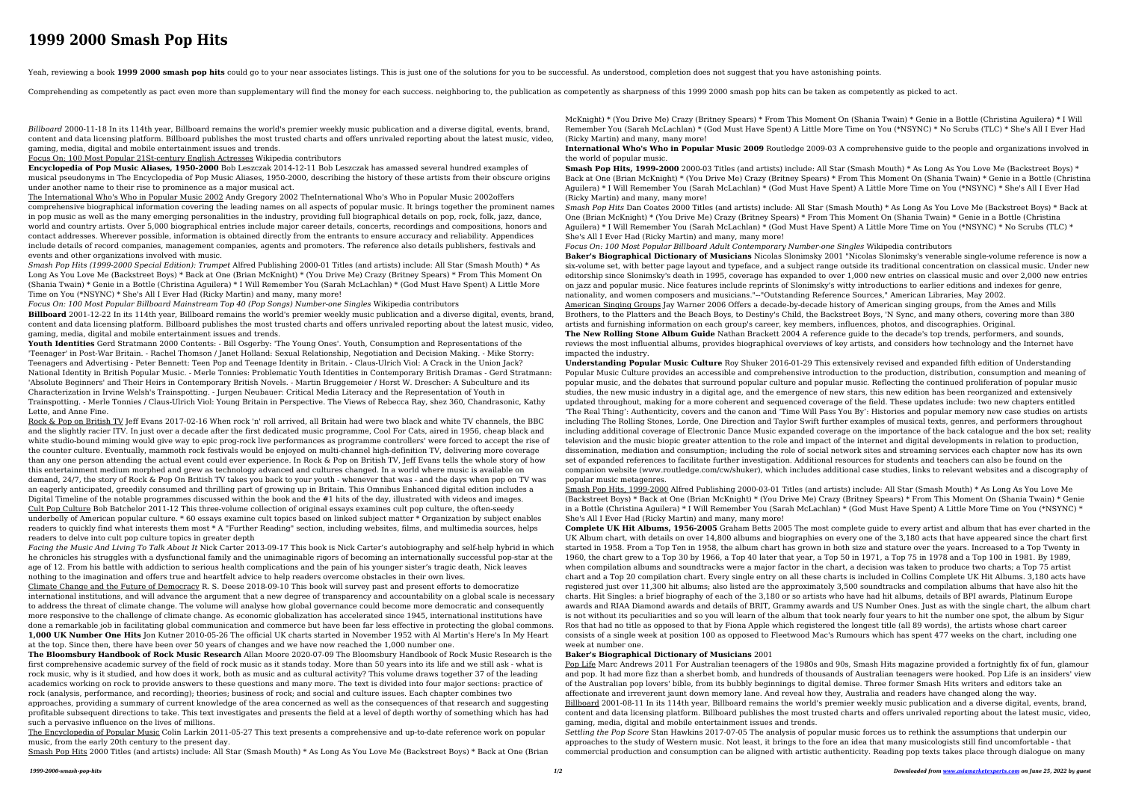## **1999 2000 Smash Pop Hits**

Yeah, reviewing a book 1999 2000 smash pop hits could go to your near associates listings. This is just one of the solutions for you to be successful. As understood, completion does not suggest that you have astonishing po

Comprehending as competently as pact even more than supplementary will find the money for each success, neighboring to, the publication as competently as sharpness of this 1999 2000 smash pop hits can be taken as competent

*Billboard* 2000-11-18 In its 114th year, Billboard remains the world's premier weekly music publication and a diverse digital, events, brand, content and data licensing platform. Billboard publishes the most trusted charts and offers unrivaled reporting about the latest music, video, gaming, media, digital and mobile entertainment issues and trends.

Focus On: 100 Most Popular 21St-century English Actresses Wikipedia contributors

**Encyclopedia of Pop Music Aliases, 1950-2000** Bob Leszczak 2014-12-11 Bob Leszczak has amassed several hundred examples of musical pseudonyms in The Encyclopedia of Pop Music Aliases, 1950-2000, describing the history of these artists from their obscure origins under another name to their rise to prominence as a major musical act.

The International Who's Who in Popular Music 2002 Andy Gregory 2002 TheInternational Who's Who in Popular Music 2002offers comprehensive biographical information covering the leading names on all aspects of popular music. It brings together the prominent names in pop music as well as the many emerging personalities in the industry, providing full biographical details on pop, rock, folk, jazz, dance, world and country artists. Over 5,000 biographical entries include major career details, concerts, recordings and compositions, honors and contact addresses. Wherever possible, information is obtained directly from the entrants to ensure accuracy and reliability. Appendices include details of record companies, management companies, agents and promoters. The reference also details publishers, festivals and events and other organizations involved with music.

*Smash Pop Hits (1999-2000 Special Edition): Trumpet* Alfred Publishing 2000-01 Titles (and artists) include: All Star (Smash Mouth) \* As Long As You Love Me (Backstreet Boys) \* Back at One (Brian McKnight) \* (You Drive Me) Crazy (Britney Spears) \* From This Moment On (Shania Twain) \* Genie in a Bottle (Christina Aguilera) \* I Will Remember You (Sarah McLachlan) \* (God Must Have Spent) A Little More Time on You (\*NSYNC) \* She's All I Ever Had (Ricky Martin) and many, many more!

Rock & Pop on British TV Jeff Evans 2017-02-16 When rock 'n' roll arrived, all Britain had were two black and white TV channels, the BBC and the slightly racier ITV. In just over a decade after the first dedicated music programme, Cool For Cats, aired in 1956, cheap black and white studio-bound miming would give way to epic prog-rock live performances as programme controllers' were forced to accept the rise of the counter culture. Eventually, mammoth rock festivals would be enjoyed on multi-channel high-definition TV, delivering more coverage than any one person attending the actual event could ever experience. In Rock & Pop on British TV, Jeff Evans tells the whole story of how this entertainment medium morphed and grew as technology advanced and cultures changed. In a world where music is available on demand, 24/7, the story of Rock & Pop On British TV takes you back to your youth - whenever that was - and the days when pop on TV was an eagerly anticipated, greedily consumed and thrilling part of growing up in Britain. This Omnibus Enhanced digital edition includes a Digital Timeline of the notable programmes discussed within the book and the #1 hits of the day, illustrated with videos and images. Cult Pop Culture Bob Batchelor 2011-12 This three-volume collection of original essays examines cult pop culture, the often-seedy underbelly of American popular culture. \* 60 essays examine cult topics based on linked subject matter \* Organization by subject enables readers to quickly find what interests them most \* A "Further Reading" section, including websites, films, and multimedia sources, helps readers to delve into cult pop culture topics in greater depth

*Focus On: 100 Most Popular Billboard Mainstream Top 40 (Pop Songs) Number-one Singles* Wikipedia contributors **Billboard** 2001-12-22 In its 114th year, Billboard remains the world's premier weekly music publication and a diverse digital, events, brand, content and data licensing platform. Billboard publishes the most trusted charts and offers unrivaled reporting about the latest music, video, gaming, media, digital and mobile entertainment issues and trends.

**Youth Identities** Gerd Stratmann 2000 Contents: - Bill Osgerby: 'The Young Ones'. Youth, Consumption and Representations of the 'Teenager' in Post-War Britain. - Rachel Thomson / Janet Holland: Sexual Relationship, Negotiation and Decision Making. - Mike Storry: Teenagers and Advertising - Peter Bennett: Teen Pop and Teenage Identity in Britain. - Claus-Ulrich Viol: A Crack in the Union Jack? National Identity in British Popular Music. - Merle Tonnies: Problematic Youth Identities in Contemporary British Dramas - Gerd Stratmann: 'Absolute Beginners' and Their Heirs in Contemporary British Novels. - Martin Bruggemeier / Horst W. Drescher: A Subculture and its Characterization in Irvine Welsh's Trainspotting. - Jurgen Neubauer: Critical Media Literacy and the Representation of Youth in Trainspotting. - Merle Tonnies / Claus-Ulrich Viol: Young Britain in Perspective. The Views of Rebecca Ray, shez 360, Chandrasonic, Kathy Lette, and Anne Fine.

**Smash Pop Hits, 1999-2000** 2000-03 Titles (and artists) include: All Star (Smash Mouth) \* As Long As You Love Me (Backstreet Boys) \* Back at One (Brian McKnight) \* (You Drive Me) Crazy (Britney Spears) \* From This Moment On (Shania Twain) \* Genie in a Bottle (Christina Aguilera) \* I Will Remember You (Sarah McLachlan) \* (God Must Have Spent) A Little More Time on You (\*NSYNC) \* She's All I Ever Had (Ricky Martin) and many, many more!

*Facing the Music And Living To Talk About It* Nick Carter 2013-09-17 This book is Nick Carter's autobiography and self-help hybrid in which he chronicles his struggles with a dysfunctional family and the unimaginable rigors of becoming an internationally successful pop-star at the age of 12. From his battle with addiction to serious health complications and the pain of his younger sister's tragic death, Nick leaves nothing to the imagination and offers true and heartfelt advice to help readers overcome obstacles in their own lives.

Climate Change and the Future of Democracy R. S. Deese 2018-09-10 This book will survey past and present efforts to democratize international institutions, and will advance the argument that a new degree of transparency and accountability on a global scale is necessary to address the threat of climate change. The volume will analyse how global governance could become more democratic and consequently more responsive to the challenge of climate change. As economic globalization has accelerated since 1945, international institutions have done a remarkable job in facilitating global communication and commerce but have been far less effective in protecting the global commons. **1,000 UK Number One Hits** Jon Kutner 2010-05-26 The official UK charts started in November 1952 with Al Martin's Here's In My Heart at the top. Since then, there have been over 50 years of changes and we have now reached the 1,000 number one.

**The Bloomsbury Handbook of Rock Music Research** Allan Moore 2020-07-09 The Bloomsbury Handbook of Rock Music Research is the first comprehensive academic survey of the field of rock music as it stands today. More than 50 years into its life and we still ask - what is rock music, why is it studied, and how does it work, both as music and as cultural activity? This volume draws together 37 of the leading academics working on rock to provide answers to these questions and many more. The text is divided into four major sections: practice of rock (analysis, performance, and recording); theories; business of rock; and social and culture issues. Each chapter combines two approaches, providing a summary of current knowledge of the area concerned as well as the consequences of that research and suggesting profitable subsequent directions to take. This text investigates and presents the field at a level of depth worthy of something which has had such a pervasive influence on the lives of millions.

The Encyclopedia of Popular Music Colin Larkin 2011-05-27 This text presents a comprehensive and up-to-date reference work on popular music, from the early 20th century to the present day.

Smash Pop Hits 2000 Titles (and artists) include: All Star (Smash Mouth) \* As Long As You Love Me (Backstreet Boys) \* Back at One (Brian

McKnight) \* (You Drive Me) Crazy (Britney Spears) \* From This Moment On (Shania Twain) \* Genie in a Bottle (Christina Aguilera) \* I Will Remember You (Sarah McLachlan) \* (God Must Have Spent) A Little More Time on You (\*NSYNC) \* No Scrubs (TLC) \* She's All I Ever Had (Ricky Martin) and many, many more!

**International Who's Who in Popular Music 2009** Routledge 2009-03 A comprehensive guide to the people and organizations involved in the world of popular music.

*Smash Pop Hits* Dan Coates 2000 Titles (and artists) include: All Star (Smash Mouth) \* As Long As You Love Me (Backstreet Boys) \* Back at One (Brian McKnight) \* (You Drive Me) Crazy (Britney Spears) \* From This Moment On (Shania Twain) \* Genie in a Bottle (Christina Aguilera) \* I Will Remember You (Sarah McLachlan) \* (God Must Have Spent) A Little More Time on You (\*NSYNC) \* No Scrubs (TLC) \* She's All I Ever Had (Ricky Martin) and many, many more!

*Focus On: 100 Most Popular Billboard Adult Contemporary Number-one Singles* Wikipedia contributors

**Baker's Biographical Dictionary of Musicians** Nicolas Slonimsky 2001 "Nicolas Slonimsky's venerable single-volume reference is now a six-volume set, with better page layout and typeface, and a subject range outside its traditional concentration on classical music. Under new editorship since Slonimsky's death in 1995, coverage has expanded to over 1,000 new entries on classical music and over 2,000 new entries on jazz and popular music. Nice features include reprints of Slonimsky's witty introductions to earlier editions and indexes for genre, nationality, and women composers and musicians."--"Outstanding Reference Sources," American Libraries, May 2002.

American Singing Groups Jay Warner 2006 Offers a decade-by-decade history of American singing groups, from the Ames and Mills Brothers, to the Platters and the Beach Boys, to Destiny's Child, the Backstreet Boys, 'N Sync, and many others, covering more than 380 artists and furnishing information on each group's career, key members, influences, photos, and discographies. Original.

**The New Rolling Stone Album Guide** Nathan Brackett 2004 A reference guide to the decade's top trends, performers, and sounds, reviews the most influential albums, provides biographical overviews of key artists, and considers how technology and the Internet have impacted the industry.

**Understanding Popular Music Culture** Roy Shuker 2016-01-29 This extensively revised and expanded fifth edition of Understanding Popular Music Culture provides an accessible and comprehensive introduction to the production, distribution, consumption and meaning of popular music, and the debates that surround popular culture and popular music. Reflecting the continued proliferation of popular music studies, the new music industry in a digital age, and the emergence of new stars, this new edition has been reorganized and extensively updated throughout, making for a more coherent and sequenced coverage of the field. These updates include: two new chapters entitled 'The Real Thing': Authenticity, covers and the canon and 'Time Will Pass You By': Histories and popular memory new case studies on artists including The Rolling Stones, Lorde, One Direction and Taylor Swift further examples of musical texts, genres, and performers throughout including additional coverage of Electronic Dance Music expanded coverage on the importance of the back catalogue and the box set; reality television and the music biopic greater attention to the role and impact of the internet and digital developments in relation to production, dissemination, mediation and consumption; including the role of social network sites and streaming services each chapter now has its own set of expanded references to facilitate further investigation. Additional resources for students and teachers can also be found on the companion website (www.routledge.com/cw/shuker), which includes additional case studies, links to relevant websites and a discography of popular music metagenres.

Smash Pop Hits, 1999-2000 Alfred Publishing 2000-03-01 Titles (and artists) include: All Star (Smash Mouth) \* As Long As You Love Me (Backstreet Boys) \* Back at One (Brian McKnight) \* (You Drive Me) Crazy (Britney Spears) \* From This Moment On (Shania Twain) \* Genie in a Bottle (Christina Aguilera) \* I Will Remember You (Sarah McLachlan) \* (God Must Have Spent) A Little More Time on You (\*NSYNC) \* She's All I Ever Had (Ricky Martin) and many, many more!

**Complete UK Hit Albums, 1956-2005** Graham Betts 2005 The most complete guide to every artist and album that has ever charted in the UK Album chart, with details on over 14,800 albums and biographies on every one of the 3,180 acts that have appeared since the chart first started in 1958. From a Top Ten in 1958, the album chart has grown in both size and stature over the years. Increased to a Top Twenty in 1960, the chart grew to a Top 30 by 1966, a Top 40 later that year, a Top 50 in 1971, a Top 75 in 1978 and a Top 100 in 1981. By 1989, when compilation albums and soundtracks were a major factor in the chart, a decision was taken to produce two charts; a Top 75 artist chart and a Top 20 compilation chart. Every single entry on all these charts is included in Collins Complete UK Hit Albums. 3,180 acts have registered just over 11,300 hit albums; also listed are the approximately 3,500 soundtracks and compilation albums that have also hit the charts. Hit Singles: a brief biography of each of the 3,180 or so artists who have had hit albums, details of BPI awards, Platinum Europe awards and RIAA Diamond awards and details of BRIT, Grammy awards and US Number Ones. Just as with the single chart, the album chart is not without its peculiarities and so you will learn of the album that took nearly four years to hit the number one spot, the album by Sigur Ros that had no title as opposed to that by Fiona Apple which registered the longest title (all 89 words), the artists whose chart career consists of a single week at position 100 as opposed to Fleetwood Mac's Rumours which has spent 477 weeks on the chart, including one week at number one.

## **Baker's Biographical Dictionary of Musicians** 2001

Pop Life Marc Andrews 2011 For Australian teenagers of the 1980s and 90s, Smash Hits magazine provided a fortnightly fix of fun, glamour and pop. It had more fizz than a sherbet bomb, and hundreds of thousands of Australian teenagers were hooked. Pop Life is an insiders' view of the Australian pop lovers' bible, from its bubbly beginnings to digital demise. Three former Smash Hits writers and editors take an affectionate and irreverent jaunt down memory lane. And reveal how they, Australia and readers have changed along the way. Billboard 2001-08-11 In its 114th year, Billboard remains the world's premier weekly music publication and a diverse digital, events, brand,

content and data licensing platform. Billboard publishes the most trusted charts and offers unrivaled reporting about the latest music, video, gaming, media, digital and mobile entertainment issues and trends.

*Settling the Pop Score* Stan Hawkins 2017-07-05 The analysis of popular music forces us to rethink the assumptions that underpin our approaches to the study of Western music. Not least, it brings to the fore an idea that many musicologists still find uncomfortable - that commercial production and consumption can be aligned with artistic authenticity. Reading pop texts takes place through dialogue on many